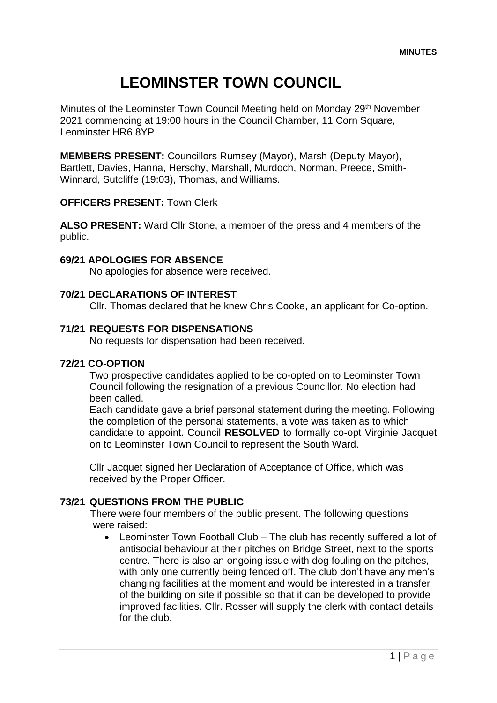# **LEOMINSTER TOWN COUNCIL**

Minutes of the Leominster Town Council Meeting held on Monday 29<sup>th</sup> November 2021 commencing at 19:00 hours in the Council Chamber, 11 Corn Square, Leominster HR6 8YP

**MEMBERS PRESENT:** Councillors Rumsey (Mayor), Marsh (Deputy Mayor), Bartlett, Davies, Hanna, Herschy, Marshall, Murdoch, Norman, Preece, Smith-Winnard, Sutcliffe (19:03), Thomas, and Williams.

## **OFFICERS PRESENT:** Town Clerk

**ALSO PRESENT:** Ward Cllr Stone, a member of the press and 4 members of the public.

# **69/21 APOLOGIES FOR ABSENCE**

No apologies for absence were received.

## **70/21 DECLARATIONS OF INTEREST**

Cllr. Thomas declared that he knew Chris Cooke, an applicant for Co-option.

## **71/21 REQUESTS FOR DISPENSATIONS**

No requests for dispensation had been received.

#### **72/21 CO-OPTION**

Two prospective candidates applied to be co-opted on to Leominster Town Council following the resignation of a previous Councillor. No election had been called.

Each candidate gave a brief personal statement during the meeting. Following the completion of the personal statements, a vote was taken as to which candidate to appoint. Council **RESOLVED** to formally co-opt Virginie Jacquet on to Leominster Town Council to represent the South Ward.

Cllr Jacquet signed her Declaration of Acceptance of Office, which was received by the Proper Officer.

# **73/21 QUESTIONS FROM THE PUBLIC**

There were four members of the public present. The following questions were raised:

 Leominster Town Football Club – The club has recently suffered a lot of antisocial behaviour at their pitches on Bridge Street, next to the sports centre. There is also an ongoing issue with dog fouling on the pitches, with only one currently being fenced off. The club don't have any men's changing facilities at the moment and would be interested in a transfer of the building on site if possible so that it can be developed to provide improved facilities. Cllr. Rosser will supply the clerk with contact details for the club.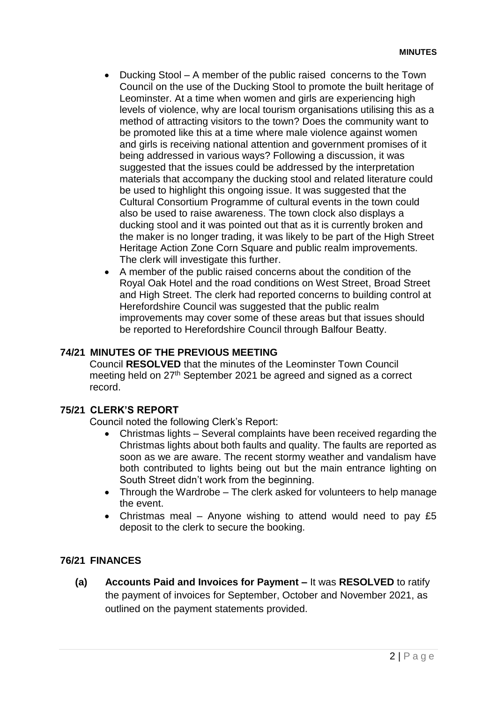- Ducking Stool A member of the public raised concerns to the Town Council on the use of the Ducking Stool to promote the built heritage of Leominster. At a time when women and girls are experiencing high levels of violence, why are local tourism organisations utilising this as a method of attracting visitors to the town? Does the community want to be promoted like this at a time where male violence against women and girls is receiving national attention and government promises of it being addressed in various ways? Following a discussion, it was suggested that the issues could be addressed by the interpretation materials that accompany the ducking stool and related literature could be used to highlight this ongoing issue. It was suggested that the Cultural Consortium Programme of cultural events in the town could also be used to raise awareness. The town clock also displays a ducking stool and it was pointed out that as it is currently broken and the maker is no longer trading, it was likely to be part of the High Street Heritage Action Zone Corn Square and public realm improvements. The clerk will investigate this further.
- A member of the public raised concerns about the condition of the Royal Oak Hotel and the road conditions on West Street, Broad Street and High Street. The clerk had reported concerns to building control at Herefordshire Council was suggested that the public realm improvements may cover some of these areas but that issues should be reported to Herefordshire Council through Balfour Beatty.

# **74/21 MINUTES OF THE PREVIOUS MEETING**

Council **RESOLVED** that the minutes of the Leominster Town Council meeting held on 27<sup>th</sup> September 2021 be agreed and signed as a correct record.

# **75/21 CLERK'S REPORT**

Council noted the following Clerk's Report:

- Christmas lights Several complaints have been received regarding the Christmas lights about both faults and quality. The faults are reported as soon as we are aware. The recent stormy weather and vandalism have both contributed to lights being out but the main entrance lighting on South Street didn't work from the beginning.
- Through the Wardrobe The clerk asked for volunteers to help manage the event.
- Christmas meal Anyone wishing to attend would need to pay £5 deposit to the clerk to secure the booking.

# **76/21 FINANCES**

**(a) Accounts Paid and Invoices for Payment –** It was **RESOLVED** to ratify the payment of invoices for September, October and November 2021, as outlined on the payment statements provided.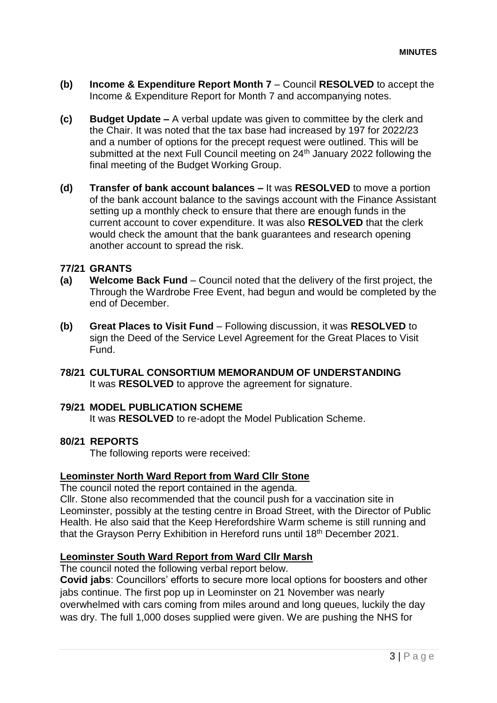- **(b) Income & Expenditure Report Month 7** Council **RESOLVED** to accept the Income & Expenditure Report for Month 7 and accompanying notes.
- **(c) Budget Update –** A verbal update was given to committee by the clerk and the Chair. It was noted that the tax base had increased by 197 for 2022/23 and a number of options for the precept request were outlined. This will be submitted at the next Full Council meeting on 24<sup>th</sup> January 2022 following the final meeting of the Budget Working Group.
- **(d) Transfer of bank account balances –** It was **RESOLVED** to move a portion of the bank account balance to the savings account with the Finance Assistant setting up a monthly check to ensure that there are enough funds in the current account to cover expenditure. It was also **RESOLVED** that the clerk would check the amount that the bank guarantees and research opening another account to spread the risk.

## **77/21 GRANTS**

- **(a) Welcome Back Fund**  Council noted that the delivery of the first project, the Through the Wardrobe Free Event, had begun and would be completed by the end of December.
- **(b) Great Places to Visit Fund**  Following discussion, it was **RESOLVED** to sign the Deed of the Service Level Agreement for the Great Places to Visit Fund.
- **78/21 CULTURAL CONSORTIUM MEMORANDUM OF UNDERSTANDING** It was **RESOLVED** to approve the agreement for signature.

## **79/21 MODEL PUBLICATION SCHEME**

It was **RESOLVED** to re-adopt the Model Publication Scheme.

#### **80/21 REPORTS**

The following reports were received:

#### **Leominster North Ward Report from Ward Cllr Stone**

The council noted the report contained in the agenda.

Cllr. Stone also recommended that the council push for a vaccination site in Leominster, possibly at the testing centre in Broad Street, with the Director of Public Health. He also said that the Keep Herefordshire Warm scheme is still running and that the Grayson Perry Exhibition in Hereford runs until 18th December 2021.

#### **Leominster South Ward Report from Ward Cllr Marsh**

The council noted the following verbal report below.

**Covid jabs**: Councillors' efforts to secure more local options for boosters and other jabs continue. The first pop up in Leominster on 21 November was nearly overwhelmed with cars coming from miles around and long queues, luckily the day was dry. The full 1,000 doses supplied were given. We are pushing the NHS for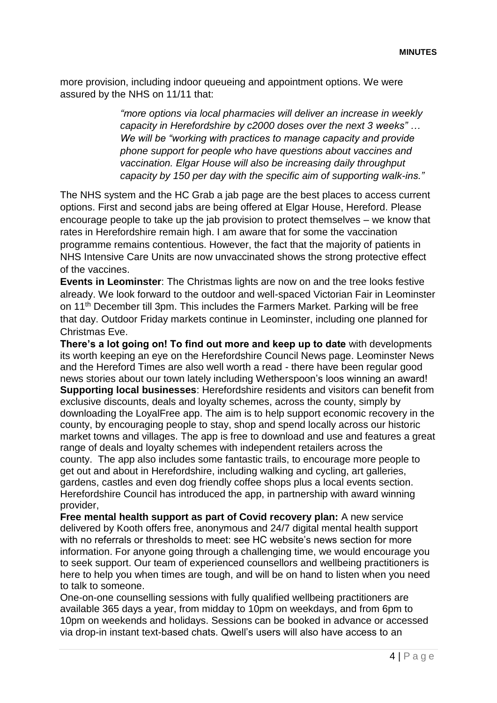more provision, including indoor queueing and appointment options. We were assured by the NHS on 11/11 that:

> *"more options via local pharmacies will deliver an increase in weekly capacity in Herefordshire by c2000 doses over the next 3 weeks" … We will be "working with practices to manage capacity and provide phone support for people who have questions about vaccines and vaccination. Elgar House will also be increasing daily throughput capacity by 150 per day with the specific aim of supporting walk-ins."*

The NHS system and the HC Grab a jab page are the best places to access current options. First and second jabs are being offered at Elgar House, Hereford. Please encourage people to take up the jab provision to protect themselves – we know that rates in Herefordshire remain high. I am aware that for some the vaccination programme remains contentious. However, the fact that the majority of patients in NHS Intensive Care Units are now unvaccinated shows the strong protective effect of the vaccines.

**Events in Leominster**: The Christmas lights are now on and the tree looks festive already. We look forward to the outdoor and well-spaced Victorian Fair in Leominster on 11th December till 3pm. This includes the Farmers Market. Parking will be free that day. Outdoor Friday markets continue in Leominster, including one planned for Christmas Eve.

**There's a lot going on! To find out more and keep up to date** with developments its worth keeping an eye on the Herefordshire Council News page. Leominster News and the Hereford Times are also well worth a read - there have been regular good news stories about our town lately including Wetherspoon's loos winning an award! **Supporting local businesses**: Herefordshire residents and visitors can benefit from exclusive discounts, deals and loyalty schemes, across the county, simply by downloading the LoyalFree app. The aim is to help support economic recovery in the county, by encouraging people to stay, shop and spend locally across our historic market towns and villages. The app is free to download and use and features a great range of deals and loyalty schemes with independent retailers across the county. The app also includes some fantastic trails, to encourage more people to get out and about in Herefordshire, including walking and cycling, art galleries, gardens, castles and even dog friendly coffee shops plus a local events section. Herefordshire Council has introduced the app, in partnership with award winning provider,

**Free mental health support as part of Covid recovery plan:** A new service delivered by Kooth offers free, anonymous and 24/7 digital mental health support with no referrals or thresholds to meet: see HC website's news section for more information. For anyone going through a challenging time, we would encourage you to seek support. Our team of experienced counsellors and wellbeing practitioners is here to help you when times are tough, and will be on hand to listen when you need to talk to someone.

One-on-one counselling sessions with fully qualified wellbeing practitioners are available 365 days a year, from midday to 10pm on weekdays, and from 6pm to 10pm on weekends and holidays. Sessions can be booked in advance or accessed via drop-in instant text-based chats. Qwell's users will also have access to an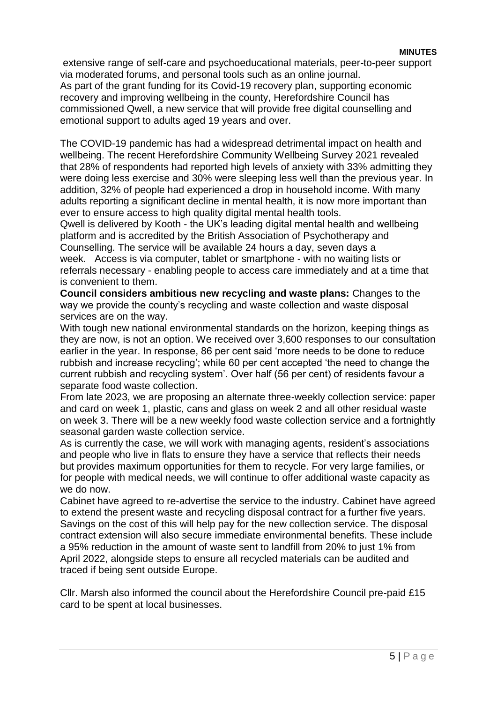#### **MINUTES**

extensive range of self-care and psychoeducational materials, peer-to-peer support via moderated forums, and personal tools such as an online journal.

As part of the grant funding for its Covid-19 recovery plan, supporting economic recovery and improving wellbeing in the county, Herefordshire Council has commissioned Qwell, a new service that will provide free digital counselling and emotional support to adults aged 19 years and over.

The COVID-19 pandemic has had a widespread detrimental impact on health and wellbeing. The recent Herefordshire Community Wellbeing Survey 2021 revealed that 28% of respondents had reported high levels of anxiety with 33% admitting they were doing less exercise and 30% were sleeping less well than the previous year. In addition, 32% of people had experienced a drop in household income. With many adults reporting a significant decline in mental health, it is now more important than ever to ensure access to high quality digital mental health tools.

Qwell is delivered by Kooth - the UK's leading digital mental health and wellbeing platform and is accredited by the British Association of Psychotherapy and Counselling. The service will be available 24 hours a day, seven days a week. Access is via computer, tablet or smartphone - with no waiting lists or referrals necessary - enabling people to access care immediately and at a time that is convenient to them.

**Council considers ambitious new recycling and waste plans:** Changes to the way we provide the county's recycling and waste collection and waste disposal services are on the way.

With tough new national environmental standards on the horizon, keeping things as they are now, is not an option. We received over 3,600 responses to our consultation earlier in the year. In response, 86 per cent said 'more needs to be done to reduce rubbish and increase recycling'; while 60 per cent accepted 'the need to change the current rubbish and recycling system'. Over half (56 per cent) of residents favour a separate food waste collection.

From late 2023, we are proposing an alternate three-weekly collection service: paper and card on week 1, plastic, cans and glass on week 2 and all other residual waste on week 3. There will be a new weekly food waste collection service and a fortnightly seasonal garden waste collection service.

As is currently the case, we will work with managing agents, resident's associations and people who live in flats to ensure they have a service that reflects their needs but provides maximum opportunities for them to recycle. For very large families, or for people with medical needs, we will continue to offer additional waste capacity as we do now.

Cabinet have agreed to re-advertise the service to the industry. Cabinet have agreed to extend the present waste and recycling disposal contract for a further five years. Savings on the cost of this will help pay for the new collection service. The disposal contract extension will also secure immediate environmental benefits. These include a 95% reduction in the amount of waste sent to landfill from 20% to just 1% from April 2022, alongside steps to ensure all recycled materials can be audited and traced if being sent outside Europe.

Cllr. Marsh also informed the council about the Herefordshire Council pre-paid £15 card to be spent at local businesses.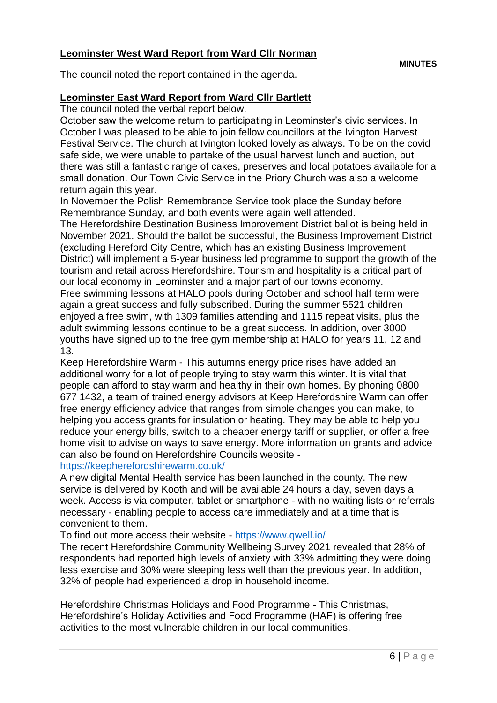# **Leominster West Ward Report from Ward Cllr Norman**

The council noted the report contained in the agenda.

## **Leominster East Ward Report from Ward Cllr Bartlett**

The council noted the verbal report below.

October saw the welcome return to participating in Leominster's civic services. In October I was pleased to be able to join fellow councillors at the Ivington Harvest Festival Service. The church at Ivington looked lovely as always. To be on the covid safe side, we were unable to partake of the usual harvest lunch and auction, but there was still a fantastic range of cakes, preserves and local potatoes available for a small donation. Our Town Civic Service in the Priory Church was also a welcome return again this year.

In November the Polish Remembrance Service took place the Sunday before Remembrance Sunday, and both events were again well attended.

The Herefordshire Destination Business Improvement District ballot is being held in November 2021. Should the ballot be successful, the Business Improvement District (excluding Hereford City Centre, which has an existing Business Improvement District) will implement a 5-year business led programme to support the growth of the tourism and retail across Herefordshire. Tourism and hospitality is a critical part of our local economy in Leominster and a major part of our towns economy. Free swimming lessons at HALO pools during October and school half term were again a great success and fully subscribed. During the summer 5521 children enjoyed a free swim, with 1309 families attending and 1115 repeat visits, plus the adult swimming lessons continue to be a great success. In addition, over 3000 youths have signed up to the free gym membership at HALO for years 11, 12 and 13.

Keep Herefordshire Warm - This autumns energy price rises have added an additional worry for a lot of people trying to stay warm this winter. It is vital that people can afford to stay warm and healthy in their own homes. By phoning 0800 677 1432, a team of trained energy advisors at Keep Herefordshire Warm can offer free energy efficiency advice that ranges from simple changes you can make, to helping you access grants for insulation or heating. They may be able to help you reduce your energy bills, switch to a cheaper energy tariff or supplier, or offer a free home visit to advise on ways to save energy. More information on grants and advice can also be found on Herefordshire Councils website -

# https://keepherefordshirewarm.co.uk/

A new digital Mental Health service has been launched in the county. The new service is delivered by Kooth and will be available 24 hours a day, seven days a week. Access is via computer, tablet or smartphone - with no waiting lists or referrals necessary - enabling people to access care immediately and at a time that is convenient to them.

To find out more access their website - https://www.qwell.io/

The recent Herefordshire Community Wellbeing Survey 2021 revealed that 28% of respondents had reported high levels of anxiety with 33% admitting they were doing less exercise and 30% were sleeping less well than the previous year. In addition, 32% of people had experienced a drop in household income.

Herefordshire Christmas Holidays and Food Programme - This Christmas, Herefordshire's Holiday Activities and Food Programme (HAF) is offering free activities to the most vulnerable children in our local communities.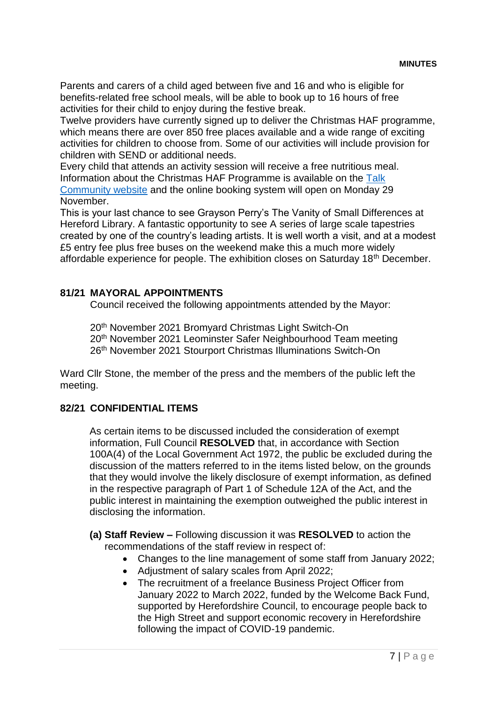Parents and carers of a child aged between five and 16 and who is eligible for benefits-related free school meals, will be able to book up to 16 hours of free activities for their child to enjoy during the festive break.

Twelve providers have currently signed up to deliver the Christmas HAF programme, which means there are over 850 free places available and a wide range of exciting activities for children to choose from. Some of our activities will include provision for children with SEND or additional needs.

Every child that attends an activity session will receive a free nutritious meal. Information about the Christmas HAF Programme is available on the Talk [Community website](http://www.talkcommunity.org/holidayactivities) and the online booking system will open on Monday 29 November.

This is your last chance to see Grayson Perry's The Vanity of Small Differences at Hereford Library. A fantastic opportunity to see A series of large scale tapestries created by one of the country's leading artists. It is well worth a visit, and at a modest £5 entry fee plus free buses on the weekend make this a much more widely affordable experience for people. The exhibition closes on Saturday 18<sup>th</sup> December.

# **81/21 MAYORAL APPOINTMENTS**

Council received the following appointments attended by the Mayor:

20th November 2021 Bromyard Christmas Light Switch-On 20th November 2021 Leominster Safer Neighbourhood Team meeting 26th November 2021 Stourport Christmas Illuminations Switch-On

Ward Cllr Stone, the member of the press and the members of the public left the meeting.

# **82/21 CONFIDENTIAL ITEMS**

As certain items to be discussed included the consideration of exempt information, Full Council **RESOLVED** that, in accordance with Section 100A(4) of the Local Government Act 1972, the public be excluded during the discussion of the matters referred to in the items listed below, on the grounds that they would involve the likely disclosure of exempt information, as defined in the respective paragraph of Part 1 of Schedule 12A of the Act, and the public interest in maintaining the exemption outweighed the public interest in disclosing the information.

## **(a) Staff Review –** Following discussion it was **RESOLVED** to action the recommendations of the staff review in respect of:

- Changes to the line management of some staff from January 2022;
- Adjustment of salary scales from April 2022;
- The recruitment of a freelance Business Project Officer from January 2022 to March 2022, funded by the Welcome Back Fund, supported by Herefordshire Council, to encourage people back to the High Street and support economic recovery in Herefordshire following the impact of COVID-19 pandemic.